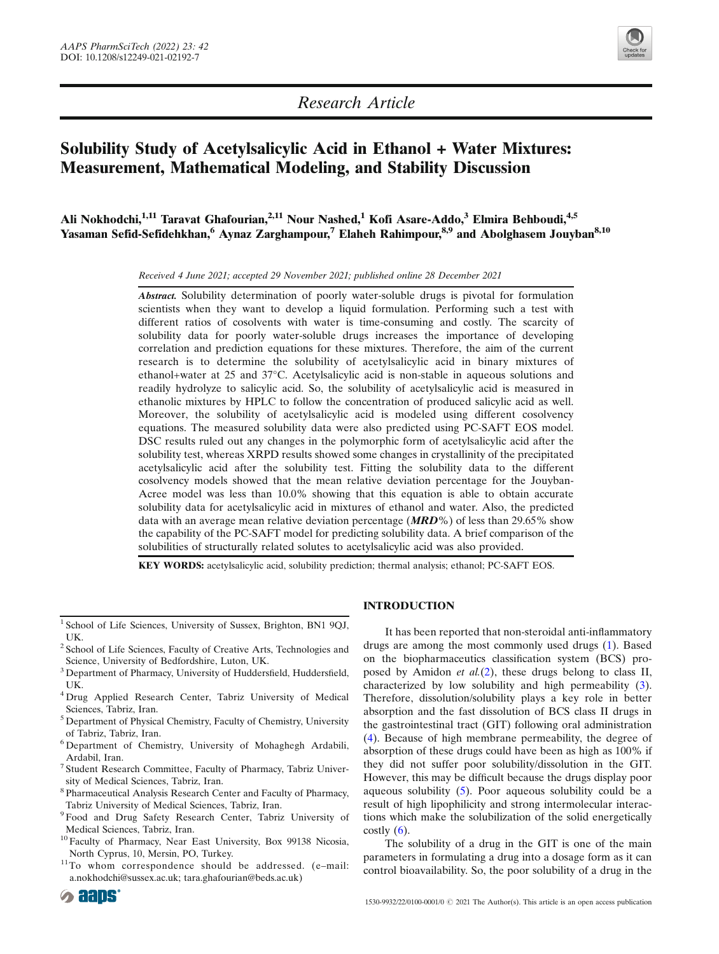

Research Article

# Solubility Study of Acetylsalicylic Acid in Ethanol + Water Mixtures: Measurement, Mathematical Modeling, and Stability Discussion

Ali Nokhodchi,<sup>1,11</sup> Taravat Ghafourian.<sup>2,11</sup> Nour Nashed,<sup>1</sup> Kofi Asare-Addo,<sup>3</sup> Elmira Behboudi,<sup>4,5</sup> Yasaman Sefid-Sefidehkhan,<sup>6</sup> Aynaz Zarghampour,<sup>7</sup> Elaheh Rahimpour,<sup>8,9</sup> and Abolghasem Jouyban<sup>8,10</sup>

Received 4 June 2021; accepted 29 November 2021 ; published online 28 December 2021

Abstract. Solubility determination of poorly water-soluble drugs is pivotal for formulation scientists when they want to develop a liquid formulation. Performing such a test with different ratios of cosolvents with water is time-consuming and costly. The scarcity of solubility data for poorly water-soluble drugs increases the importance of developing correlation and prediction equations for these mixtures. Therefore, the aim of the current research is to determine the solubility of acetylsalicylic acid in binary mixtures of ethanol+water at 25 and 37°C. Acetylsalicylic acid is non-stable in aqueous solutions and readily hydrolyze to salicylic acid. So, the solubility of acetylsalicylic acid is measured in ethanolic mixtures by HPLC to follow the concentration of produced salicylic acid as well. Moreover, the solubility of acetylsalicylic acid is modeled using different cosolvency equations. The measured solubility data were also predicted using PC-SAFT EOS model. DSC results ruled out any changes in the polymorphic form of acetylsalicylic acid after the solubility test, whereas XRPD results showed some changes in crystallinity of the precipitated acetylsalicylic acid after the solubility test. Fitting the solubility data to the different cosolvency models showed that the mean relative deviation percentage for the Jouyban-Acree model was less than 10.0% showing that this equation is able to obtain accurate solubility data for acetylsalicylic acid in mixtures of ethanol and water. Also, the predicted data with an average mean relative deviation percentage ( $MRD\%$ ) of less than 29.65% show the capability of the PC-SAFT model for predicting solubility data. A brief comparison of the solubilities of structurally related solutes to acetylsalicylic acid was also provided.

KEY WORDS: acetylsalicylic acid, solubility prediction; thermal analysis; ethanol; PC-SAFT EOS.

- <sup>3</sup> Department of Pharmacy, University of Huddersfield, Huddersfield, UK.
- <sup>4</sup> Drug Applied Research Center, Tabriz University of Medical Sciences, Tabriz, Iran.
- <sup>5</sup> Department of Physical Chemistry, Faculty of Chemistry, University of Tabriz, Tabriz, Iran.
- <sup>6</sup> Department of Chemistry, University of Mohaghegh Ardabili, Ardabil, Iran.
- <sup>7</sup> Student Research Committee, Faculty of Pharmacy, Tabriz University of Medical Sciences, Tabriz, Iran.
- <sup>8</sup> Pharmaceutical Analysis Research Center and Faculty of Pharmacy, Tabriz University of Medical Sciences, Tabriz, Iran.
- <sup>9</sup> Food and Drug Safety Research Center, Tabriz University of Medical Sciences, Tabriz, Iran.
- <sup>10</sup> Faculty of Pharmacy, Near East University, Box 99138 Nicosia, North Cyprus, 10, Mersin, PO, Turkey.<br><sup>11</sup>To whom correspondence should be addressed. (e–mail:
- [a.nokhodchi@sussex.ac.uk;](mailto:a.nokhodchi@sussex.ac.uk) [tara.ghafourian@beds.ac.uk\)](mailto:tara.ghafourian@beds.ac.uk)

## INTRODUCTION

It has been reported that non-steroidal anti-inflammatory drugs are among the most commonly used drugs ([1](#page-10-0)). Based on the biopharmaceutics classification system (BCS) proposed by Amidon et al.([2](#page-10-0)), these drugs belong to class II, characterized by low solubility and high permeability [\(3\)](#page-10-0). Therefore, dissolution/solubility plays a key role in better absorption and the fast dissolution of BCS class II drugs in the gastrointestinal tract (GIT) following oral administration ([4](#page-10-0)). Because of high membrane permeability, the degree of absorption of these drugs could have been as high as 100% if they did not suffer poor solubility/dissolution in the GIT. However, this may be difficult because the drugs display poor aqueous solubility [\(5\)](#page-10-0). Poor aqueous solubility could be a result of high lipophilicity and strong intermolecular interactions which make the solubilization of the solid energetically costly  $(6)$  $(6)$  $(6)$ .

The solubility of a drug in the GIT is one of the main parameters in formulating a drug into a dosage form as it can control bioavailability. So, the poor solubility of a drug in the

<sup>1</sup> School of Life Sciences, University of Sussex, Brighton, BN1 9QJ, UK.

<sup>2</sup> School of Life Sciences, Faculty of Creative Arts, Technologies and Science, University of Bedfordshire, Luton, UK.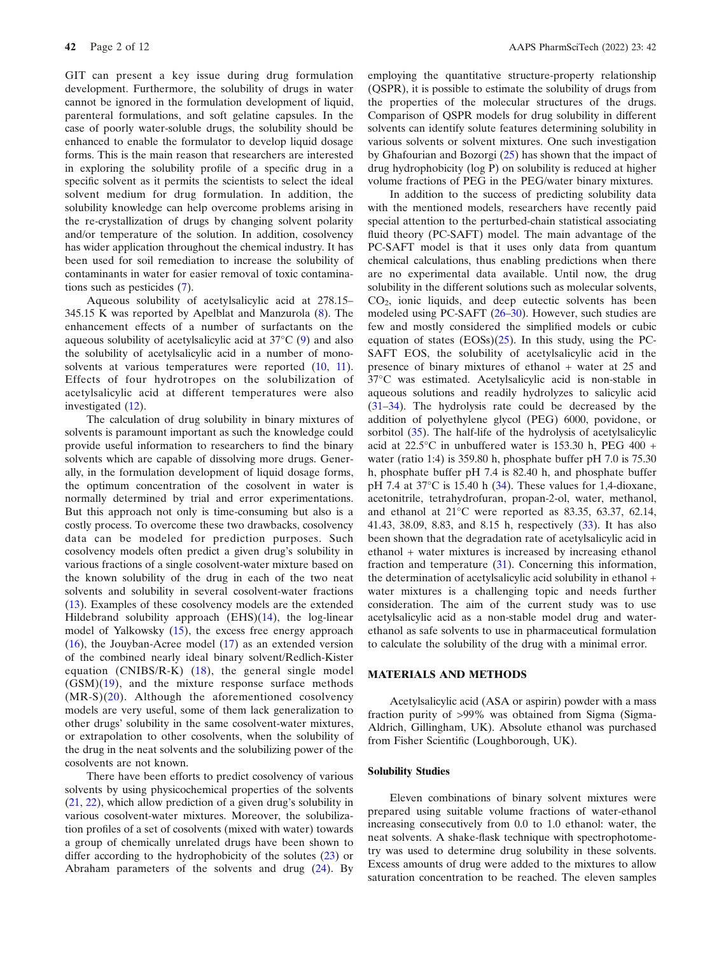GIT can present a key issue during drug formulation development. Furthermore, the solubility of drugs in water cannot be ignored in the formulation development of liquid, parenteral formulations, and soft gelatine capsules. In the case of poorly water-soluble drugs, the solubility should be enhanced to enable the formulator to develop liquid dosage forms. This is the main reason that researchers are interested in exploring the solubility profile of a specific drug in a specific solvent as it permits the scientists to select the ideal solvent medium for drug formulation. In addition, the solubility knowledge can help overcome problems arising in the re-crystallization of drugs by changing solvent polarity and/or temperature of the solution. In addition, cosolvency has wider application throughout the chemical industry. It has been used for soil remediation to increase the solubility of contaminants in water for easier removal of toxic contaminations such as pesticides (7).

Aqueous solubility of acetylsalicylic acid at 278.15– 345.15 K was reported by Apelblat and Manzurola (8). The enhancement effects of a number of surfactants on the aqueous solubility of acetylsalicylic acid at 37°C (9) and also the solubility of acetylsalicylic acid in a number of monosolvents at various temperatures were reported  $(10, 11)$ . Effects of four hydrotropes on the solubilization of acetylsalicylic acid at different temperatures were also investigated (12).

The calculation of drug solubility in binary mixtures of solvents is paramount important as such the knowledge could provide useful information to researchers to find the binary solvents which are capable of dissolving more drugs. Generally, in the formulation development of liquid dosage forms, the optimum concentration of the cosolvent in water is normally determined by trial and error experimentations. But this approach not only is time-consuming but also is a costly process. To overcome these two drawbacks, cosolvency data can be modeled for prediction purposes. Such cosolvency models often predict a given drug's solubility in various fractions of a single cosolvent-water mixture based on the known solubility of the drug in each of the two neat solvents and solubility in several cosolvent-water fractions (13). Examples of these cosolvency models are the extended Hildebrand solubility approach (EHS)(14), the log-linear model of Yalkowsky (15), the excess free energy approach (16), the Jouyban-Acree model (17) as an extended version of the combined nearly ideal binary solvent/Redlich-Kister equation (CNIBS/R-K) (18), the general single model  $(GSM)(19)$ , and the mixture response surface methods (MR-S)(20). Although the aforementioned cosolvency models are very useful, some of them lack generalization to other drugs' solubility in the same cosolvent-water mixtures, or extrapolation to other cosolvents, when the solubility of the drug in the neat solvents and the solubilizing power of the cosolvents are not known.

There have been efforts to predict cosolvency of various solvents by using physicochemical properties of the solvents (21, 22), which allow prediction of a given drug's solubility in various cosolvent-water mixtures. Moreover, the solubilization profiles of a set of cosolvents (mixed with water) towards a group of chemically unrelated drugs have been shown to differ according to the hydrophobicity of the solutes (23) or Abraham parameters of the solvents and drug (24). By

employing the quantitative structure-property relationship (QSPR), it is possible to estimate the solubility of drugs from the properties of the molecular structures of the drugs. Comparison of QSPR models for drug solubility in different solvents can identify solute features determining solubility in various solvents or solvent mixtures. One such investigation by Ghafourian and Bozorgi (25) has shown that the impact of drug hydrophobicity (log P) on solubility is reduced at higher volume fractions of PEG in the PEG/water binary mixtures.

In addition to the success of predicting solubility data with the mentioned models, researchers have recently paid special attention to the perturbed-chain statistical associating fluid theory (PC-SAFT) model. The main advantage of the PC-SAFT model is that it uses only data from quantum chemical calculations, thus enabling predictions when there are no experimental data available. Until now, the drug solubility in the different solutions such as molecular solvents, CO2, ionic liquids, and deep eutectic solvents has been modeled using PC-SAFT (26–30). However, such studies are few and mostly considered the simplified models or cubic equation of states  $(EOS)(25)$ . In this study, using the PC-SAFT EOS, the solubility of acetylsalicylic acid in the presence of binary mixtures of ethanol + water at 25 and 37°C was estimated. Acetylsalicylic acid is non-stable in aqueous solutions and readily hydrolyzes to salicylic acid (31–34). The hydrolysis rate could be decreased by the addition of polyethylene glycol (PEG) 6000, povidone, or sorbitol (35). The half-life of the hydrolysis of acetylsalicylic acid at 22.5°C in unbuffered water is 153.30 h, PEG 400 + water (ratio 1:4) is 359.80 h, phosphate buffer pH 7.0 is 75.30 h, phosphate buffer pH 7.4 is 82.40 h, and phosphate buffer pH 7.4 at 37°C is 15.40 h (34). These values for 1,4-dioxane, acetonitrile, tetrahydrofuran, propan-2-ol, water, methanol, and ethanol at 21°C were reported as 83.35, 63.37, 62.14, 41.43, 38.09, 8.83, and 8.15 h, respectively (33). It has also been shown that the degradation rate of acetylsalicylic acid in ethanol + water mixtures is increased by increasing ethanol fraction and temperature (31). Concerning this information, the determination of acetylsalicylic acid solubility in ethanol + water mixtures is a challenging topic and needs further consideration. The aim of the current study was to use acetylsalicylic acid as a non-stable model drug and waterethanol as safe solvents to use in pharmaceutical formulation to calculate the solubility of the drug with a minimal error.

## MATERIALS AND METHODS

Acetylsalicylic acid (ASA or aspirin) powder with a mass fraction purity of >99% was obtained from Sigma (Sigma-Aldrich, Gillingham, UK). Absolute ethanol was purchased from Fisher Scientific (Loughborough, UK).

#### Solubility Studies

Eleven combinations of binary solvent mixtures were prepared using suitable volume fractions of water-ethanol increasing consecutively from 0.0 to 1.0 ethanol: water, the neat solvents. A shake-flask technique with spectrophotometry was used to determine drug solubility in these solvents. Excess amounts of drug were added to the mixtures to allow saturation concentration to be reached. The eleven samples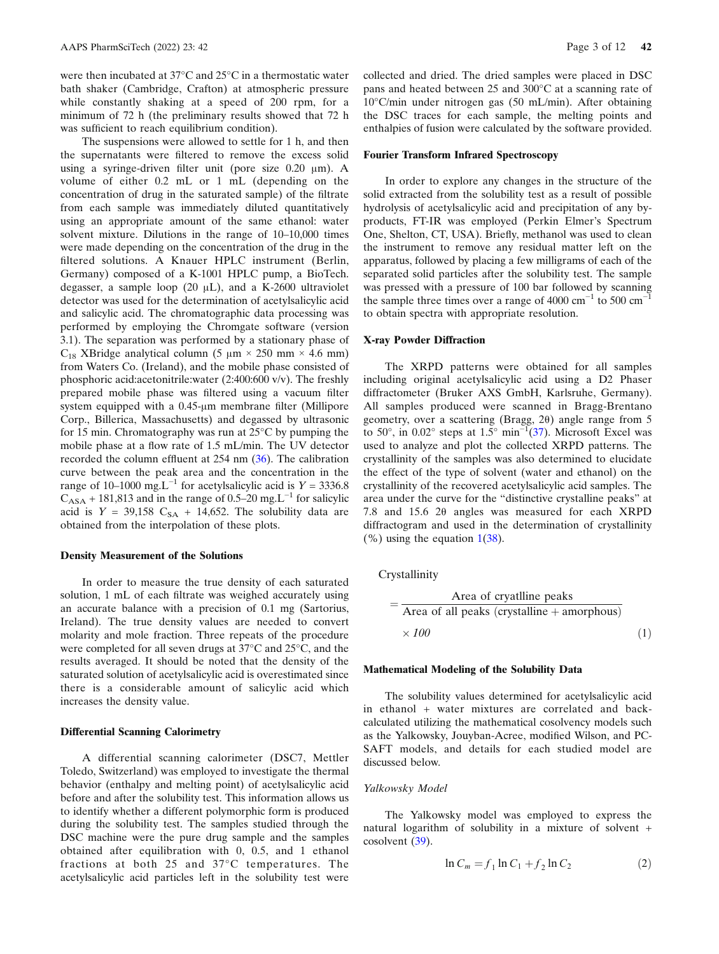were then incubated at 37°C and 25°C in a thermostatic water bath shaker (Cambridge, Crafton) at atmospheric pressure while constantly shaking at a speed of 200 rpm, for a minimum of 72 h (the preliminary results showed that 72 h was sufficient to reach equilibrium condition).

The suspensions were allowed to settle for 1 h, and then the supernatants were filtered to remove the excess solid using a syringe-driven filter unit (pore size 0.20 μm). A volume of either 0.2 mL or 1 mL (depending on the concentration of drug in the saturated sample) of the filtrate from each sample was immediately diluted quantitatively using an appropriate amount of the same ethanol: water solvent mixture. Dilutions in the range of 10–10,000 times were made depending on the concentration of the drug in the filtered solutions. A Knauer HPLC instrument (Berlin, Germany) composed of a K-1001 HPLC pump, a BioTech. degasser, a sample loop (20 μL), and a K-2600 ultraviolet detector was used for the determination of acetylsalicylic acid and salicylic acid. The chromatographic data processing was performed by employing the Chromgate software (version 3.1). The separation was performed by a stationary phase of C<sub>18</sub> XBridge analytical column (5 μm  $\times$  250 mm  $\times$  4.6 mm) from Waters Co. (Ireland), and the mobile phase consisted of phosphoric acid:acetonitrile:water (2:400:600 v/v). The freshly prepared mobile phase was filtered using a vacuum filter system equipped with a 0.45-μm membrane filter (Millipore Corp., Billerica, Massachusetts) and degassed by ultrasonic for 15 min. Chromatography was run at 25°C by pumping the mobile phase at a flow rate of 1.5 mL/min. The UV detector recorded the column effluent at 254 nm (36). The calibration curve between the peak area and the concentration in the range of 10–1000 mg.L<sup>-1</sup> for acetylsalicylic acid is  $Y = 3336.8$  $C<sub>ASA</sub> + 181,813$  and in the range of 0.5–20 mg.L<sup>-1</sup> for salicylic acid is  $Y = 39,158$  C<sub>SA</sub> + 14,652. The solubility data are obtained from the interpolation of these plots.

#### Density Measurement of the Solutions

In order to measure the true density of each saturated solution, 1 mL of each filtrate was weighed accurately using an accurate balance with a precision of 0.1 mg (Sartorius, Ireland). The true density values are needed to convert molarity and mole fraction. Three repeats of the procedure were completed for all seven drugs at 37°C and 25°C, and the results averaged. It should be noted that the density of the saturated solution of acetylsalicylic acid is overestimated since there is a considerable amount of salicylic acid which increases the density value.

## Differential Scanning Calorimetry

A differential scanning calorimeter (DSC7, Mettler Toledo, Switzerland) was employed to investigate the thermal behavior (enthalpy and melting point) of acetylsalicylic acid before and after the solubility test. This information allows us to identify whether a different polymorphic form is produced during the solubility test. The samples studied through the DSC machine were the pure drug sample and the samples obtained after equilibration with 0, 0.5, and 1 ethanol fractions at both 25 and 37°C temperatures. The acetylsalicylic acid particles left in the solubility test were

collected and dried. The dried samples were placed in DSC pans and heated between 25 and 300°C at a scanning rate of 10°C/min under nitrogen gas (50 mL/min). After obtaining the DSC traces for each sample, the melting points and enthalpies of fusion were calculated by the software provided.

#### Fourier Transform Infrared Spectroscopy

In order to explore any changes in the structure of the solid extracted from the solubility test as a result of possible hydrolysis of acetylsalicylic acid and precipitation of any byproducts, FT-IR was employed (Perkin Elmer's Spectrum One, Shelton, CT, USA). Briefly, methanol was used to clean the instrument to remove any residual matter left on the apparatus, followed by placing a few milligrams of each of the separated solid particles after the solubility test. The sample was pressed with a pressure of 100 bar followed by scanning the sample three times over a range of 4000  $cm^{-1}$  to 500  $cm^{-1}$ to obtain spectra with appropriate resolution.

#### X-ray Powder Diffraction

The XRPD patterns were obtained for all samples including original acetylsalicylic acid using a D2 Phaser diffractometer (Bruker AXS GmbH, Karlsruhe, Germany). All samples produced were scanned in Bragg-Brentano geometry, over a scattering (Bragg, 2θ) angle range from 5 to 50°, in 0.02° steps at 1.5° min<sup>-1</sup>(37). Microsoft Excel was used to analyze and plot the collected XRPD patterns. The crystallinity of the samples was also determined to elucidate the effect of the type of solvent (water and ethanol) on the crystallinity of the recovered acetylsalicylic acid samples. The area under the curve for the "distinctive crystalline peaks" at 7.8 and 15.6 2θ angles was measured for each XRPD diffractogram and used in the determination of crystallinity  $(\% )$  using the equation  $1(38)$ .

Crystallinity

$$
= \frac{\text{Area of crystalline peaks}}{\text{Area of all peaks (crystalline} + \text{amorphous})}
$$

$$
\times 100 \tag{1}
$$

#### Mathematical Modeling of the Solubility Data

The solubility values determined for acetylsalicylic acid in ethanol + water mixtures are correlated and backcalculated utilizing the mathematical cosolvency models such as the Yalkowsky, Jouyban-Acree, modified Wilson, and PC-SAFT models, and details for each studied model are discussed below.

## Yalkowsky Model

The Yalkowsky model was employed to express the natural logarithm of solubility in a mixture of solvent + cosolvent (39).

$$
\ln C_m = f_1 \ln C_1 + f_2 \ln C_2 \tag{2}
$$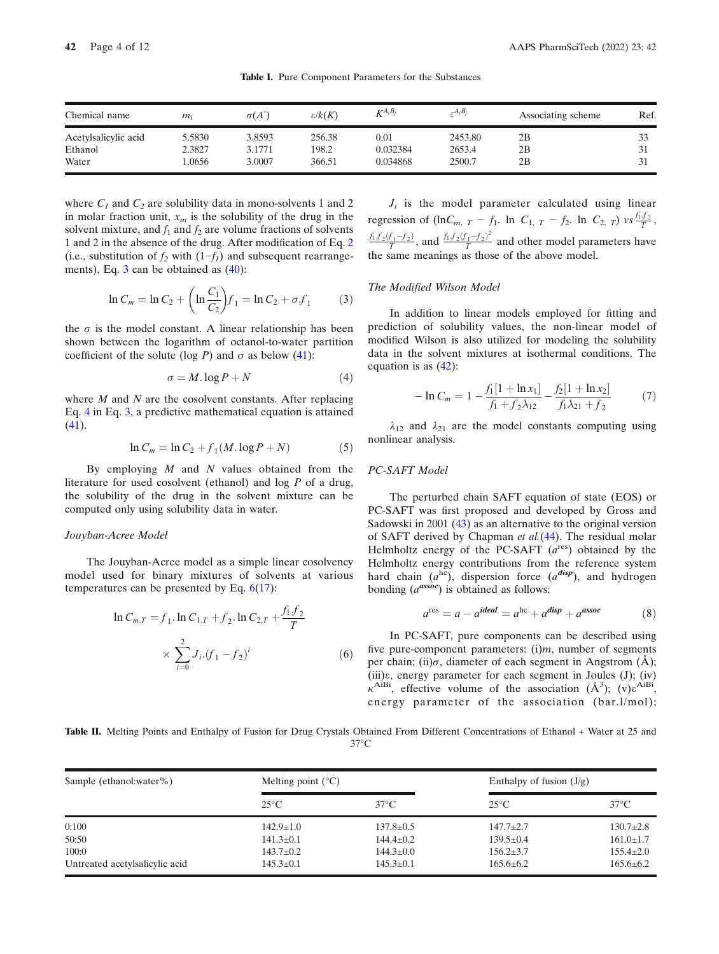| Chemical name        | m <sub>i</sub> | $\sigma(A^{\circ})$ | $\varepsilon/k(K)$ | $K^{A_i B_j}$ | $\varepsilon^{A_i B_j}$ | Associating scheme | Ref. |
|----------------------|----------------|---------------------|--------------------|---------------|-------------------------|--------------------|------|
| Acetylsalicylic acid | 5.5830         | 3.8593              | 256.38             | $\rm 0.01$    | 2453.80                 | 2B                 | 33   |
| Ethanol              | 2.3827         | 3.1771              | 198.2              | 0.032384      | 2653.4                  | 2B                 |      |
| Water                | .0656          | 3.0007              | 366.51             | 0.034868      | 2500.7                  | 2B                 |      |

Table I. Pure Component Parameters for the Substances

where  $C_1$  and  $C_2$  are solubility data in mono-solvents 1 and 2 in molar fraction unit,  $x_m$  is the solubility of the drug in the solvent mixture, and  $f_1$  and  $f_2$  are volume fractions of solvents 1 and 2 in the absence of the drug. After modification of Eq. 2 (i.e., substitution of  $f_2$  with (1– $f_1$ ) and subsequent rearrangements), Eq. 3 can be obtained as (40):

$$
\ln C_m = \ln C_2 + \left(\ln \frac{C_1}{C_2}\right) f_1 = \ln C_2 + \sigma f_1 \tag{3}
$$

the  $\sigma$  is the model constant. A linear relationship has been shown between the logarithm of octanol-to-water partition coefficient of the solute (log P) and  $\sigma$  as below (41):

$$
\sigma = M \cdot \log P + N \tag{4}
$$

where  $M$  and  $N$  are the cosolvent constants. After replacing Eq. 4 in Eq. 3, a predictive mathematical equation is attained (41).

$$
\ln C_m = \ln C_2 + f_1(M \cdot \log P + N) \tag{5}
$$

By employing  $M$  and  $N$  values obtained from the literature for used cosolvent (ethanol) and log P of a drug, the solubility of the drug in the solvent mixture can be computed only using solubility data in water.

# Jouyban-Acree Model

The Jouyban-Acree model as a simple linear cosolvency model used for binary mixtures of solvents at various temperatures can be presented by Eq.  $6(17)$ :

$$
\ln C_{m,T} = f_1 \cdot \ln C_{1,T} + f_2 \cdot \ln C_{2,T} + \frac{f_1 f_2}{T}
$$

$$
\times \sum_{i=0}^{2} J_i \cdot (f_1 - f_2)^i \tag{6}
$$

 $J_i$  is the model parameter calculated using linear regression of  $(\ln C_{m, T} - f_1)$ . ln  $C_{1, T} - f_2$ . ln  $C_{2, T}$ ) vs  $\frac{f_1 f_2}{T}$ ,  $\frac{f_1 f_2(f_1 - f_2)}{T}$ , and  $\frac{f_1 f_2(f_1 - f_2)^2}{T}$  and other model parameters have the same meanings as those of the above model.

#### The Modified Wilson Model

In addition to linear models employed for fitting and prediction of solubility values, the non-linear model of modified Wilson is also utilized for modeling the solubility data in the solvent mixtures at isothermal conditions. The equation is as (42):

$$
-\ln C_m = 1 - \frac{f_1[1 + \ln x_1]}{f_1 + f_2 \lambda_{12}} - \frac{f_2[1 + \ln x_2]}{f_1 \lambda_{21} + f_2} \tag{7}
$$

 $\lambda_{12}$  and  $\lambda_{21}$  are the model constants computing using nonlinear analysis.

#### PC-SAFT Model

The perturbed chain SAFT equation of state (EOS) or PC-SAFT was first proposed and developed by Gross and Sadowski in 2001 (43) as an alternative to the original version of SAFT derived by Chapman et al.(44). The residual molar Helmholtz energy of the PC-SAFT  $(a^{res})$  obtained by the Helmholtz energy contributions from the reference system hard chain  $(a^{hc})$ , dispersion force  $(a^{disp})$ , and hydrogen bonding  $(a^{assoc})$  is obtained as follows:

$$
ares = a - aideal = ahc + adisp + aassoc
$$
 (8)

In PC-SAFT, pure components can be described using five pure-component parameters:  $(i)m$ , number of segments per chain; (ii) $\sigma$ , diameter of each segment in Angstrom (Å); (iii)ε, energy parameter for each segment in Joules (J); (iv)  $\kappa^{AiBi}$ , effective volume of the association  $(\AA^3)$ ;  $(v)\epsilon^{AiBi}$ , energy parameter of the association (bar.l/mol);

Table II. Melting Points and Enthalpy of Fusion for Drug Crystals Obtained From Different Concentrations of Ethanol + Water at 25 and  $37^{\circ}$ C

| Sample (ethanol:water%)        | Melting point $(^{\circ}C)$ |                 | Enthalpy of fusion $(J/g)$ |                 |
|--------------------------------|-----------------------------|-----------------|----------------------------|-----------------|
|                                | $25^{\circ}$ C              | $37^{\circ}$ C  | $25^{\circ}$ C             | $37^{\circ}$ C  |
| 0:100                          | $142.9 \pm 1.0$             | $137.8 \pm 0.5$ | $147.7 \pm 2.7$            | $130.7 \pm 2.8$ |
| 50:50                          | $141.3 \pm 0.1$             | $144.4 \pm 0.2$ | $139.5 \pm 0.4$            | $161.0 \pm 1.7$ |
| 100:0                          | $143.7 \pm 0.2$             | $144.3 \pm 0.0$ | $156.2 \pm 3.7$            | $155.4 \pm 2.0$ |
| Untreated acetylsalicylic acid | $145.3 \pm 0.1$             | $145.3 \pm 0.1$ | $165.6 \pm 6.2$            | $165.6 \pm 6.2$ |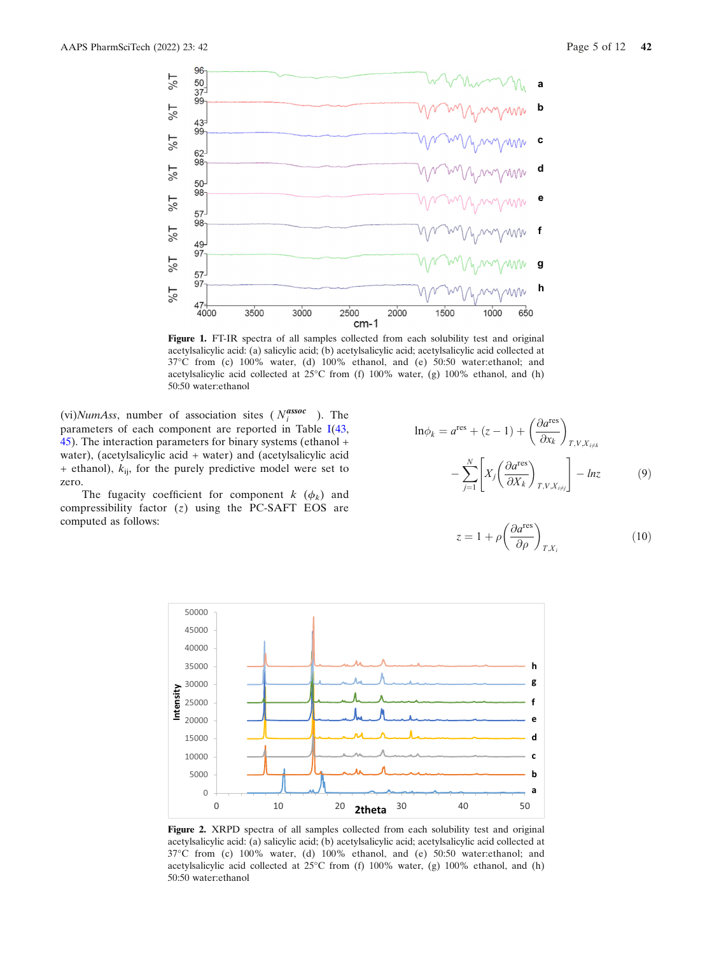

Figure 1. FT-IR spectra of all samples collected from each solubility test and original acetylsalicylic acid: (a) salicylic acid; (b) acetylsalicylic acid; acetylsalicylic acid collected at 37°C from (c) 100% water, (d) 100% ethanol, and (e) 50:50 water:ethanol; and acetylsalicylic acid collected at 25°C from (f) 100% water, (g) 100% ethanol, and (h) 50:50 water:ethanol

(vi)NumAss, number of association sites ( $N_i^{\text{assoc}}$ ). The parameters of each component are reported in Table I(43, 45). The interaction parameters for binary systems (ethanol + water), (acetylsalicylic acid + water) and (acetylsalicylic acid  $+$  ethanol),  $k_{ij}$ , for the purely predictive model were set to zero.

The fugacity coefficient for component  $k$  ( $\phi_k$ ) and compressibility factor  $(z)$  using the PC-SAFT EOS are computed as follows:

$$
\ln \phi_k = a^{\text{res}} + (z - 1) + \left(\frac{\partial a^{\text{res}}}{\partial x_k}\right)_{T, V, X_{i \neq k}}
$$

$$
- \sum_{j=1}^N \left[ X_j \left(\frac{\partial a^{\text{res}}}{\partial X_k}\right)_{T, V, X_{i \neq j}} \right] - \ln z \tag{9}
$$

$$
z = 1 + \rho \left(\frac{\partial a^{\text{res}}}{\partial \rho}\right)_{T, X_i} \tag{10}
$$



Figure 2. XRPD spectra of all samples collected from each solubility test and original acetylsalicylic acid: (a) salicylic acid; (b) acetylsalicylic acid; acetylsalicylic acid collected at 37°C from (c) 100% water, (d) 100% ethanol, and (e) 50:50 water:ethanol; and acetylsalicylic acid collected at 25°C from (f) 100% water, (g) 100% ethanol, and (h) 50:50 water:ethanol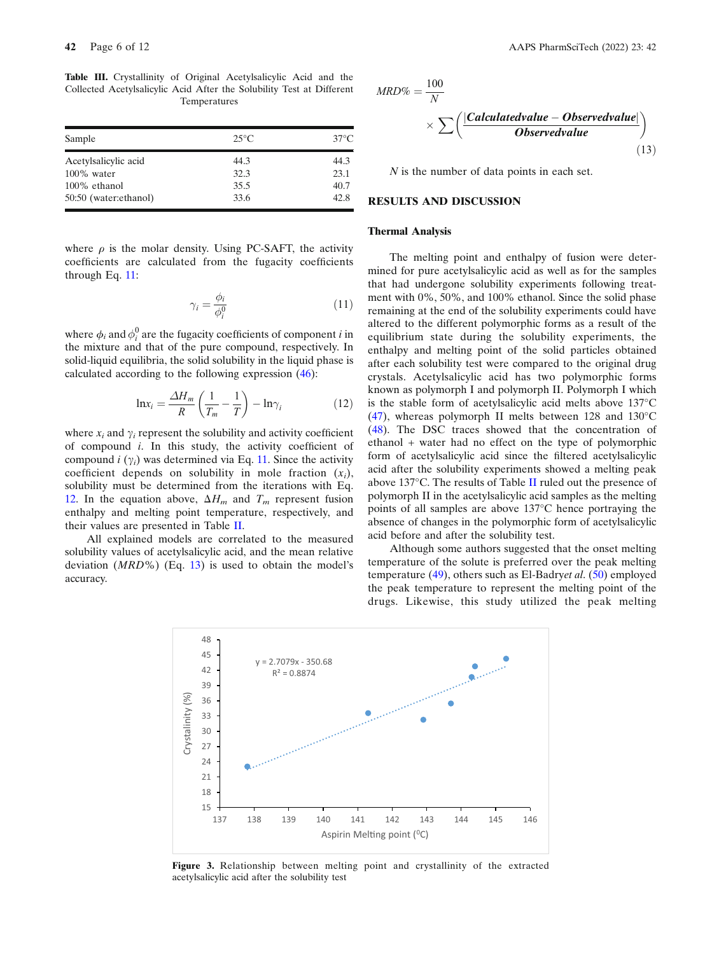Table III. Crystallinity of Original Acetylsalicylic Acid and the Collected Acetylsalicylic Acid After the Solubility Test at Different Temperatures

| Sample                | $25^{\circ}$ C | $37^{\circ}$ C |
|-----------------------|----------------|----------------|
| Acetylsalicylic acid  | 44.3           | 44.3           |
| $100\%$ water         | 32.3           | 23.1           |
| 100% ethanol          | 35.5           | 40.7           |
| 50:50 (water:ethanol) | 33.6           | 42.8           |

where  $\rho$  is the molar density. Using PC-SAFT, the activity coefficients are calculated from the fugacity coefficients through Eq. 11:

$$
\gamma_i = \frac{\phi_i}{\phi_i^0} \tag{11}
$$

where  $\phi_i$  and  $\phi_i^0$  are the fugacity coefficients of component *i* in the mixture and that of the pure compound, respectively. In solid-liquid equilibria, the solid solubility in the liquid phase is calculated according to the following expression (46):

$$
\ln x_i = \frac{\Delta H_m}{R} \left( \frac{1}{T_m} - \frac{1}{T} \right) - \ln \gamma_i \tag{12}
$$

where  $x_i$  and  $\gamma_i$  represent the solubility and activity coefficient of compound i. In this study, the activity coefficient of compound  $i(\gamma_i)$  was determined via Eq. 11. Since the activity coefficient depends on solubility in mole fraction  $(x_i)$ , solubility must be determined from the iterations with Eq. 12. In the equation above,  $\Delta H_m$  and  $T_m$  represent fusion enthalpy and melting point temperature, respectively, and their values are presented in Table II.

All explained models are correlated to the measured solubility values of acetylsalicylic acid, and the mean relative deviation  $(MRD\%)$  (Eq. 13) is used to obtain the model's accuracy.

$$
MRD\% = \frac{100}{N}
$$
  
 
$$
\times \sum \left( \frac{|Calculated value - Observed value|}{Observed value} \right)
$$
 (13)

N is the number of data points in each set.

## RESULTS AND DISCUSSION

## Thermal Analysis

The melting point and enthalpy of fusion were determined for pure acetylsalicylic acid as well as for the samples that had undergone solubility experiments following treatment with 0%, 50%, and 100% ethanol. Since the solid phase remaining at the end of the solubility experiments could have altered to the different polymorphic forms as a result of the equilibrium state during the solubility experiments, the enthalpy and melting point of the solid particles obtained after each solubility test were compared to the original drug crystals. Acetylsalicylic acid has two polymorphic forms known as polymorph I and polymorph II. Polymorph I which is the stable form of acetylsalicylic acid melts above 137°C  $(47)$ , whereas polymorph II melts between 128 and 130 $^{\circ}$ C (48). The DSC traces showed that the concentration of ethanol + water had no effect on the type of polymorphic form of acetylsalicylic acid since the filtered acetylsalicylic acid after the solubility experiments showed a melting peak above 137°C. The results of Table II ruled out the presence of polymorph II in the acetylsalicylic acid samples as the melting points of all samples are above 137°C hence portraying the absence of changes in the polymorphic form of acetylsalicylic acid before and after the solubility test.

Although some authors suggested that the onset melting temperature of the solute is preferred over the peak melting temperature  $(49)$ , others such as El-Badryet al.  $(50)$  employed the peak temperature to represent the melting point of the drugs. Likewise, this study utilized the peak melting



Figure 3. Relationship between melting point and crystallinity of the extracted acetylsalicylic acid after the solubility test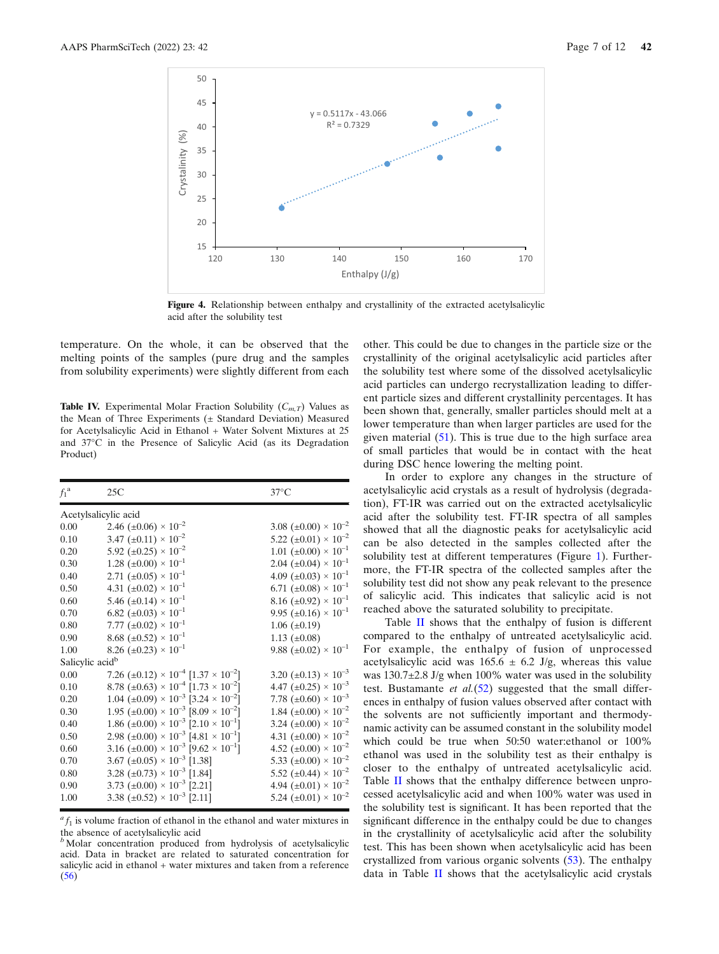

Figure 4. Relationship between enthalpy and crystallinity of the extracted acetylsalicylic acid after the solubility test

temperature. On the whole, it can be observed that the melting points of the samples (pure drug and the samples from solubility experiments) were slightly different from each

**Table IV.** Experimental Molar Fraction Solubility  $(C_{m,T})$  Values as the Mean of Three Experiments (± Standard Deviation) Measured for Acetylsalicylic Acid in Ethanol + Water Solvent Mixtures at 25 and 37°C in the Presence of Salicylic Acid (as its Degradation Product)

| $f_1^{\ a}$                 | 25C                                                                            | $37^{\circ}$ C                               |
|-----------------------------|--------------------------------------------------------------------------------|----------------------------------------------|
|                             | Acetylsalicylic acid                                                           |                                              |
| 0.00                        | 2.46 $(\pm 0.06) \times 10^{-2}$                                               | 3.08 ( $\pm 0.00$ ) × 10 <sup>-2</sup>       |
| 0.10                        | 3.47 $(\pm 0.11) \times 10^{-2}$                                               | 5.22 ( $\pm 0.01$ ) × 10 <sup>-2</sup>       |
| 0.20                        | 5.92 ( $\pm 0.25$ ) × $10^{-2}$                                                | $1.01 \ (\pm 0.00) \times 10^{-1}$           |
| 0.30                        | $1.28 \ (\pm 0.00) \times 10^{-1}$                                             | $2.04 \ (\pm 0.04) \times 10^{-1}$           |
| 0.40                        | 2.71 $(\pm 0.05) \times 10^{-1}$                                               | 4.09 ( $\pm 0.03$ ) × 10 <sup>-1</sup>       |
| 0.50                        | 4.31 $(\pm 0.02) \times 10^{-1}$                                               | 6.71 ( $\pm 0.08$ ) × 10 <sup>-1</sup>       |
| 0.60                        | 5.46 $(\pm 0.14) \times 10^{-1}$                                               | 8.16 ( $\pm 0.92$ ) × 10 <sup>-1</sup>       |
| 0.70                        | 6.82 ( $\pm 0.03$ ) × 10 <sup>-1</sup>                                         | 9.95 ( $\pm$ 0.16) $\times$ 10 <sup>-1</sup> |
| 0.80                        | 7.77 $(\pm 0.02) \times 10^{-1}$                                               | $1.06 \ (\pm 0.19)$                          |
| 0.90                        | 8.68 $(\pm 0.52) \times 10^{-1}$                                               | 1.13 $(\pm 0.08)$                            |
| 1.00                        | 8.26 ( $\pm 0.23$ ) × $10^{-1}$                                                | 9.88 $(\pm 0.02) \times 10^{-1}$             |
| Salicylic acid <sup>b</sup> |                                                                                |                                              |
| 0.00                        | 7.26 ( $\pm$ 0.12) $\times$ 10 <sup>-4</sup> [1.37 $\times$ 10 <sup>-2</sup> ] | 3.20 $(\pm 0.13) \times 10^{-3}$             |
| 0.10                        | 8.78 ( $\pm 0.63$ ) × 10 <sup>-4</sup> [1.73 × 10 <sup>-2</sup> ]              | 4.47 $(\pm 0.25) \times 10^{-3}$             |
| 0.20                        | 1.04 ( $\pm 0.09$ ) × 10 <sup>-3</sup> [3.24 × 10 <sup>-2</sup> ]              | 7.78 $(\pm 0.60) \times 10^{-3}$             |
| 0.30                        | 1.95 ( $\pm 0.00$ ) × 10 <sup>-3</sup> [8.09 × 10 <sup>-2</sup> ]              | 1.84 $(\pm 0.00) \times 10^{-2}$             |
| 0.40                        | 1.86 ( $\pm 0.00$ ) × 10 <sup>-3</sup> [2.10 × 10 <sup>-1</sup> ]              | 3.24 ( $\pm 0.00$ ) × 10 <sup>-2</sup>       |
| 0.50                        | 2.98 ( $\pm 0.00$ ) × 10 <sup>-3</sup> [4.81 × 10 <sup>-1</sup> ]              | 4.31 ( $\pm 0.00$ ) × 10 <sup>-2</sup>       |
| 0.60                        | 3.16 ( $\pm 0.00$ ) × 10 <sup>-3</sup> [9.62 × 10 <sup>-1</sup> ]              | 4.52 ( $\pm 0.00$ ) × $10^{-2}$              |
| 0.70                        | 3.67 (±0.05) $\times$ 10 <sup>-3</sup> [1.38]                                  | 5.33 $(\pm 0.00) \times 10^{-2}$             |
| 0.80                        | 3.28 ( $\pm$ 0.73) $\times$ 10 <sup>-3</sup> [1.84]                            | 5.52 ( $\pm$ 0.44) $\times$ 10 <sup>-2</sup> |
| 0.90                        | 3.73 ( $\pm 0.00$ ) × 10 <sup>-3</sup> [2.21]                                  | 4.94 $(\pm 0.01) \times 10^{-2}$             |
| 1.00                        | 3.38 ( $\pm 0.52$ ) × 10 <sup>-3</sup> [2.11]                                  | 5.24 ( $\pm 0.01$ ) × $10^{-2}$              |

 ${}^{a}f_{1}$  is volume fraction of ethanol in the ethanol and water mixtures in

the absence of acetylsalicylic acid <sup>b</sup> Molar concentration produced from hydrolysis of acetylsalicylic acid. Data in bracket are related to saturated concentration for salicylic acid in ethanol + water mixtures and taken from a reference (56)

other. This could be due to changes in the particle size or the crystallinity of the original acetylsalicylic acid particles after the solubility test where some of the dissolved acetylsalicylic acid particles can undergo recrystallization leading to different particle sizes and different crystallinity percentages. It has been shown that, generally, smaller particles should melt at a lower temperature than when larger particles are used for the given material (51). This is true due to the high surface area of small particles that would be in contact with the heat during DSC hence lowering the melting point.

In order to explore any changes in the structure of acetylsalicylic acid crystals as a result of hydrolysis (degradation), FT-IR was carried out on the extracted acetylsalicylic acid after the solubility test. FT-IR spectra of all samples showed that all the diagnostic peaks for acetylsalicylic acid can be also detected in the samples collected after the solubility test at different temperatures (Figure 1). Furthermore, the FT-IR spectra of the collected samples after the solubility test did not show any peak relevant to the presence of salicylic acid. This indicates that salicylic acid is not reached above the saturated solubility to precipitate.

Table II shows that the enthalpy of fusion is different compared to the enthalpy of untreated acetylsalicylic acid. For example, the enthalpy of fusion of unprocessed acetylsalicylic acid was  $165.6 \pm 6.2$  J/g, whereas this value was 130.7 $\pm$ 2.8 J/g when 100% water was used in the solubility test. Bustamante *et al.*( $52$ ) suggested that the small differences in enthalpy of fusion values observed after contact with the solvents are not sufficiently important and thermodynamic activity can be assumed constant in the solubility model which could be true when 50:50 water:ethanol or 100% ethanol was used in the solubility test as their enthalpy is closer to the enthalpy of untreated acetylsalicylic acid. Table II shows that the enthalpy difference between unprocessed acetylsalicylic acid and when 100% water was used in the solubility test is significant. It has been reported that the significant difference in the enthalpy could be due to changes in the crystallinity of acetylsalicylic acid after the solubility test. This has been shown when acetylsalicylic acid has been crystallized from various organic solvents (53). The enthalpy data in Table II shows that the acetylsalicylic acid crystals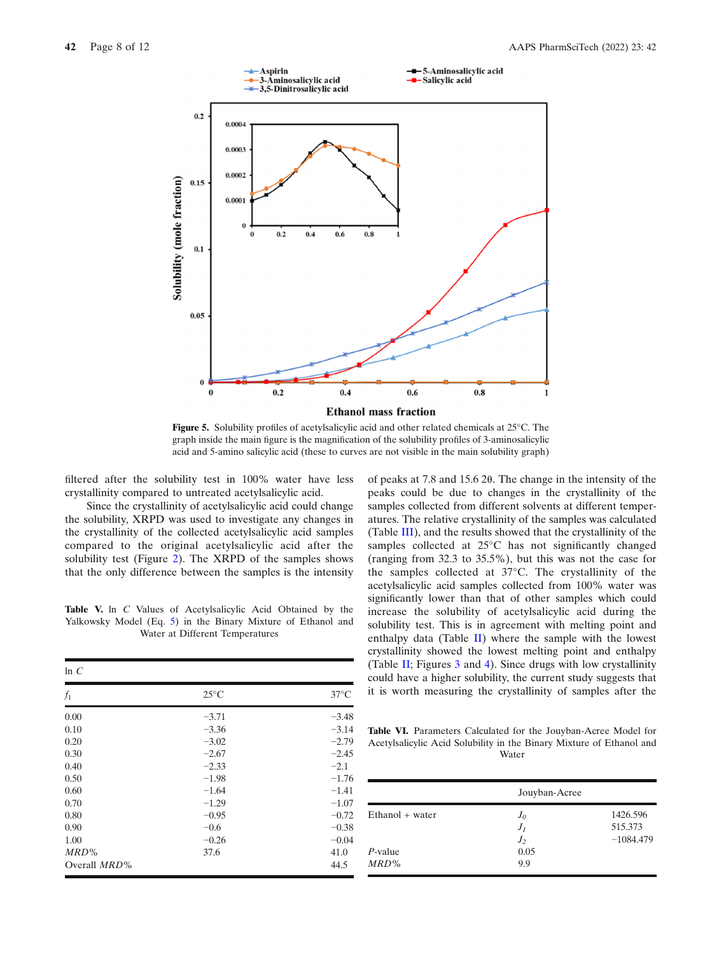

Figure 5. Solubility profiles of acetylsalicylic acid and other related chemicals at 25°C. The graph inside the main figure is the magnification of the solubility profiles of 3-aminosalicylic acid and 5-amino salicylic acid (these to curves are not visible in the main solubility graph)

filtered after the solubility test in 100% water have less crystallinity compared to untreated acetylsalicylic acid.

Since the crystallinity of acetylsalicylic acid could change the solubility, XRPD was used to investigate any changes in the crystallinity of the collected acetylsalicylic acid samples compared to the original acetylsalicylic acid after the solubility test (Figure 2). The XRPD of the samples shows that the only difference between the samples is the intensity

Table V. In C Values of Acetylsalicylic Acid Obtained by the Yalkowsky Model (Eq. 5) in the Binary Mixture of Ethanol and Water at Different Temperatures

| $25^{\circ}$ C<br>$-3.71$<br>$-3.36$<br>$-3.02$ | $37^{\circ}$ C<br>$-3.48$<br>$-3.14$<br>$-2.79$ |
|-------------------------------------------------|-------------------------------------------------|
|                                                 |                                                 |
|                                                 |                                                 |
|                                                 |                                                 |
|                                                 |                                                 |
|                                                 | $-2.45$                                         |
| $-2.33$                                         | $-2.1$                                          |
| $-1.98$                                         | $-1.76$                                         |
| $-1.64$                                         | $-1.41$                                         |
| $-1.29$                                         | $-1.07$                                         |
| $-0.95$                                         | $-0.72$                                         |
| $-0.6$                                          | $-0.38$                                         |
| $-0.26$                                         | $-0.04$                                         |
| 37.6                                            | 41.0                                            |
|                                                 | 44.5                                            |
|                                                 | $-2.67$                                         |

of peaks at 7.8 and 15.6 2θ. The change in the intensity of the peaks could be due to changes in the crystallinity of the samples collected from different solvents at different temperatures. The relative crystallinity of the samples was calculated (Table III), and the results showed that the crystallinity of the samples collected at 25°C has not significantly changed (ranging from 32.3 to 35.5%), but this was not the case for the samples collected at 37°C. The crystallinity of the acetylsalicylic acid samples collected from 100% water was significantly lower than that of other samples which could increase the solubility of acetylsalicylic acid during the solubility test. This is in agreement with melting point and enthalpy data (Table  $II$ ) where the sample with the lowest crystallinity showed the lowest melting point and enthalpy (Table II; Figures 3 and 4). Since drugs with low crystallinity could have a higher solubility, the current study suggests that it is worth measuring the crystallinity of samples after the

Table VI. Parameters Calculated for the Jouyban-Acree Model for Acetylsalicylic Acid Solubility in the Binary Mixture of Ethanol and Water

|                       | Jouyban-Acree                  |                                    |
|-----------------------|--------------------------------|------------------------------------|
| $Ethanol + water$     | $J_{\theta}$<br>$J_I$<br>$J_2$ | 1426.596<br>515.373<br>$-1084.479$ |
| $P$ -value<br>$MRD\%$ | 0.05<br>9.9                    |                                    |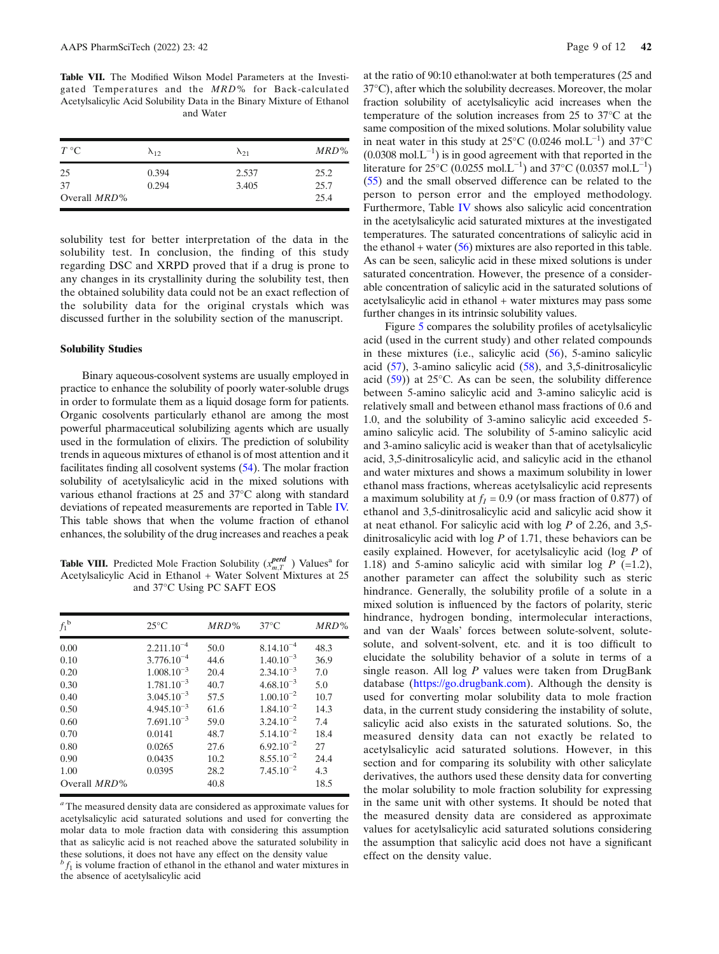Table VII. The Modified Wilson Model Parameters at the Investigated Temperatures and the MRD% for Back-calculated Acetylsalicylic Acid Solubility Data in the Binary Mixture of Ethanol and Water

| $T^{\circ}C$                    | $\lambda_{12}$ | $\lambda_{21}$ | MRD%                 |
|---------------------------------|----------------|----------------|----------------------|
| 25<br>37<br>Overall <i>MRD%</i> | 0.394<br>0.294 | 2.537<br>3.405 | 25.2<br>25.7<br>25.4 |

solubility test for better interpretation of the data in the solubility test. In conclusion, the finding of this study regarding DSC and XRPD proved that if a drug is prone to any changes in its crystallinity during the solubility test, then the obtained solubility data could not be an exact reflection of the solubility data for the original crystals which was discussed further in the solubility section of the manuscript.

#### Solubility Studies

Binary aqueous-cosolvent systems are usually employed in practice to enhance the solubility of poorly water-soluble drugs in order to formulate them as a liquid dosage form for patients. Organic cosolvents particularly ethanol are among the most powerful pharmaceutical solubilizing agents which are usually used in the formulation of elixirs. The prediction of solubility trends in aqueous mixtures of ethanol is of most attention and it facilitates finding all cosolvent systems (54). The molar fraction solubility of acetylsalicylic acid in the mixed solutions with various ethanol fractions at 25 and 37°C along with standard deviations of repeated measurements are reported in Table IV. This table shows that when the volume fraction of ethanol enhances, the solubility of the drug increases and reaches a peak

**Table VIII.** Predicted Mole Fraction Solubility  $(x_{m,T}^{perd})$  Values<sup>a</sup> for Acetylsalicylic Acid in Ethanol + Water Solvent Mixtures at 25 and 37°C Using PC SAFT EOS

| $f_1^{\ b}$                                                          | $25^{\circ}$ C                                                                                                                                        | MRD%                                                                 | $37^{\circ}$ C                                                                                                                                                 | $MRD\%$                                                         |
|----------------------------------------------------------------------|-------------------------------------------------------------------------------------------------------------------------------------------------------|----------------------------------------------------------------------|----------------------------------------------------------------------------------------------------------------------------------------------------------------|-----------------------------------------------------------------|
| 0.00<br>0.10<br>0.20<br>0.30<br>0.40<br>0.50<br>0.60<br>0.70<br>0.80 | $2.211.10^{-4}$<br>$3.776.10^{-4}$<br>$1.008.10^{-3}$<br>$1.781.10^{-3}$<br>$3.045.10^{-3}$<br>$4.945.10^{-3}$<br>$7.691.10^{-3}$<br>0.0141<br>0.0265 | 50.0<br>44.6<br>20.4<br>40.7<br>57.5<br>61.6<br>59.0<br>48.7<br>27.6 | $8.14.10^{-4}$<br>$1.40.10^{-3}$<br>$2.34.10^{-3}$<br>$4.68.10^{-3}$<br>$1.00.10^{-2}$<br>$1.84.10^{-2}$<br>$3.24.10^{-2}$<br>$5.14.10^{-2}$<br>$6.92.10^{-2}$ | 48.3<br>36.9<br>7.0<br>5.0<br>10.7<br>14.3<br>7.4<br>18.4<br>27 |
| 0.90<br>1.00<br>Overall <i>MRD%</i>                                  | 0.0435<br>0.0395                                                                                                                                      | 10.2<br>28.2<br>40.8                                                 | $8.55.10^{-2}$<br>$7.45.10^{-2}$                                                                                                                               | 24.4<br>4.3<br>18.5                                             |

<sup>a</sup> The measured density data are considered as approximate values for acetylsalicylic acid saturated solutions and used for converting the molar data to mole fraction data with considering this assumption that as salicylic acid is not reached above the saturated solubility in these solutions, it does not have any effect on the density value

at the ratio of 90:10 ethanol:water at both temperatures (25 and 37°C), after which the solubility decreases. Moreover, the molar fraction solubility of acetylsalicylic acid increases when the temperature of the solution increases from 25 to 37°C at the same composition of the mixed solutions. Molar solubility value in neat water in this study at 25°C (0.0246 mol.L−<sup>1</sup> ) and 37°C  $(0.0308 \text{ mol} \cdot \text{L}^{-1})$  is in good agreement with that reported in the literature for 25°C (0.0255 mol.L<sup>-1</sup>) and 37°C (0.0357 mol.L<sup>-1</sup>) (55) and the small observed difference can be related to the person to person error and the employed methodology. Furthermore, Table IV shows also salicylic acid concentration in the acetylsalicylic acid saturated mixtures at the investigated temperatures. The saturated concentrations of salicylic acid in the ethanol + water  $(56)$  mixtures are also reported in this table. As can be seen, salicylic acid in these mixed solutions is under saturated concentration. However, the presence of a considerable concentration of salicylic acid in the saturated solutions of acetylsalicylic acid in ethanol + water mixtures may pass some further changes in its intrinsic solubility values.

Figure 5 compares the solubility profiles of acetylsalicylic acid (used in the current study) and other related compounds in these mixtures (i.e., salicylic acid (56), 5-amino salicylic acid (57), 3-amino salicylic acid (58), and 3,5-dinitrosalicylic acid (59)) at 25°C. As can be seen, the solubility difference between 5-amino salicylic acid and 3-amino salicylic acid is relatively small and between ethanol mass fractions of 0.6 and 1.0, and the solubility of 3-amino salicylic acid exceeded 5 amino salicylic acid. The solubility of 5-amino salicylic acid and 3-amino salicylic acid is weaker than that of acetylsalicylic acid, 3,5-dinitrosalicylic acid, and salicylic acid in the ethanol and water mixtures and shows a maximum solubility in lower ethanol mass fractions, whereas acetylsalicylic acid represents a maximum solubility at  $f_1 = 0.9$  (or mass fraction of 0.877) of ethanol and 3,5-dinitrosalicylic acid and salicylic acid show it at neat ethanol. For salicylic acid with log P of 2.26, and 3,5 dinitrosalicylic acid with  $log P$  of 1.71, these behaviors can be easily explained. However, for acetylsalicylic acid (log P of 1.18) and 5-amino salicylic acid with similar log  $P$  (=1.2), another parameter can affect the solubility such as steric hindrance. Generally, the solubility profile of a solute in a mixed solution is influenced by the factors of polarity, steric hindrance, hydrogen bonding, intermolecular interactions, and van der Waals' forces between solute-solvent, solutesolute, and solvent-solvent, etc. and it is too difficult to elucidate the solubility behavior of a solute in terms of a single reason. All log  $P$  values were taken from DrugBank database (https://go.drugbank.com). Although the density is used for converting molar solubility data to mole fraction data, in the current study considering the instability of solute, salicylic acid also exists in the saturated solutions. So, the measured density data can not exactly be related to acetylsalicylic acid saturated solutions. However, in this section and for comparing its solubility with other salicylate derivatives, the authors used these density data for converting the molar solubility to mole fraction solubility for expressing in the same unit with other systems. It should be noted that the measured density data are considered as approximate values for acetylsalicylic acid saturated solutions considering the assumption that salicylic acid does not have a significant effect on the density value.

 $\beta f_1$  is volume fraction of ethanol in the ethanol and water mixtures in the absence of acetylsalicylic acid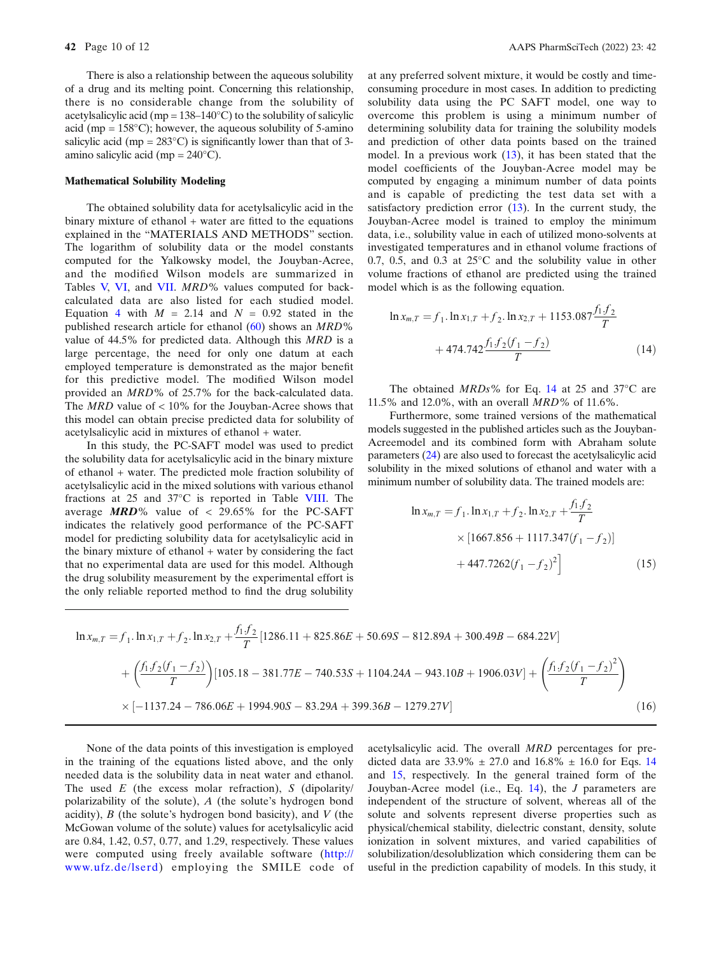There is also a relationship between the aqueous solubility of a drug and its melting point. Concerning this relationship, there is no considerable change from the solubility of acetylsalicylic acid (mp =  $138-140^{\circ}$ C) to the solubility of salicylic acid (mp =  $158^{\circ}$ C); however, the aqueous solubility of 5-amino salicylic acid (mp =  $283^{\circ}$ C) is significantly lower than that of 3amino salicylic acid (mp =  $240^{\circ}$ C).

#### Mathematical Solubility Modeling

The obtained solubility data for acetylsalicylic acid in the binary mixture of ethanol  $+$  water are fitted to the equations explained in the "MATERIALS AND METHODS" section. The logarithm of solubility data or the model constants computed for the Yalkowsky model, the Jouyban-Acree, and the modified Wilson models are summarized in Tables V, VI, and VII. MRD% values computed for backcalculated data are also listed for each studied model. Equation 4 with  $M = 2.14$  and  $N = 0.92$  stated in the published research article for ethanol  $(60)$  shows an  $MRD\%$ value of 44.5% for predicted data. Although this MRD is a large percentage, the need for only one datum at each employed temperature is demonstrated as the major benefit for this predictive model. The modified Wilson model provided an MRD% of 25.7% for the back-calculated data. The  $MRD$  value of < 10% for the Jouyban-Acree shows that this model can obtain precise predicted data for solubility of acetylsalicylic acid in mixtures of ethanol + water.

In this study, the PC-SAFT model was used to predict the solubility data for acetylsalicylic acid in the binary mixture of ethanol + water. The predicted mole fraction solubility of acetylsalicylic acid in the mixed solutions with various ethanol fractions at 25 and 37°C is reported in Table VIII. The average  $MRD\%$  value of < 29.65% for the PC-SAFT indicates the relatively good performance of the PC-SAFT model for predicting solubility data for acetylsalicylic acid in the binary mixture of ethanol + water by considering the fact that no experimental data are used for this model. Although the drug solubility measurement by the experimental effort is the only reliable reported method to find the drug solubility

at any preferred solvent mixture, it would be costly and timeconsuming procedure in most cases. In addition to predicting solubility data using the PC SAFT model, one way to overcome this problem is using a minimum number of determining solubility data for training the solubility models and prediction of other data points based on the trained model. In a previous work (13), it has been stated that the model coefficients of the Jouyban-Acree model may be computed by engaging a minimum number of data points and is capable of predicting the test data set with a satisfactory prediction error (13). In the current study, the Jouyban-Acree model is trained to employ the minimum data, i.e., solubility value in each of utilized mono-solvents at investigated temperatures and in ethanol volume fractions of 0.7, 0.5, and 0.3 at 25°C and the solubility value in other volume fractions of ethanol are predicted using the trained model which is as the following equation.

$$
\ln x_{m,T} = f_1 \cdot \ln x_{1,T} + f_2 \cdot \ln x_{2,T} + 1153.087 \frac{f_1 f_2}{T} + 474.742 \frac{f_1 f_2 (f_1 - f_2)}{T}
$$
\n(14)

The obtained  $MRDs\%$  for Eq. 14 at 25 and 37 $\degree$ C are 11.5% and 12.0%, with an overall MRD% of 11.6%.

Furthermore, some trained versions of the mathematical models suggested in the published articles such as the Jouyban-Acreemodel and its combined form with Abraham solute parameters (24) are also used to forecast the acetylsalicylic acid solubility in the mixed solutions of ethanol and water with a minimum number of solubility data. The trained models are:

$$
\ln x_{m,T} = f_1 \cdot \ln x_{1,T} + f_2 \cdot \ln x_{2,T} + \frac{f_1 f_2}{T}
$$
  
× [1667.856 + 1117.347(f<sub>1</sub> - f<sub>2</sub>)]  
+ 447.7262(f<sub>1</sub> - f<sub>2</sub>)<sup>2</sup>] (15)

$$
\ln x_{m,T} = f_1 \cdot \ln x_{1,T} + f_2 \cdot \ln x_{2,T} + \frac{f_1 f_2}{T} [1286.11 + 825.86E + 50.69S - 812.89A + 300.49B - 684.22V] + \left( \frac{f_1 f_2 (f_1 - f_2)}{T} \right) [105.18 - 381.77E - 740.53S + 1104.24A - 943.10B + 1906.03V] + \left( \frac{f_1 f_2 (f_1 - f_2)^2}{T} \right) \times [-1137.24 - 786.06E + 1994.90S - 83.29A + 399.36B - 1279.27V]
$$
(16)

None of the data points of this investigation is employed in the training of the equations listed above, and the only needed data is the solubility data in neat water and ethanol. The used  $E$  (the excess molar refraction),  $S$  (dipolarity/ polarizability of the solute), A (the solute's hydrogen bond acidity),  $B$  (the solute's hydrogen bond basicity), and  $V$  (the McGowan volume of the solute) values for acetylsalicylic acid are 0.84, 1.42, 0.57, 0.77, and 1.29, respectively. These values were computed using freely available software (http:// www.ufz.de/lserd) employing the SMILE code of acetylsalicylic acid. The overall MRD percentages for predicted data are  $33.9\% \pm 27.0$  and  $16.8\% \pm 16.0$  for Eqs. 14 and 15, respectively. In the general trained form of the Jouyban-Acree model (i.e., Eq. 14), the J parameters are independent of the structure of solvent, whereas all of the solute and solvents represent diverse properties such as physical/chemical stability, dielectric constant, density, solute ionization in solvent mixtures, and varied capabilities of solubilization/desolublization which considering them can be useful in the prediction capability of models. In this study, it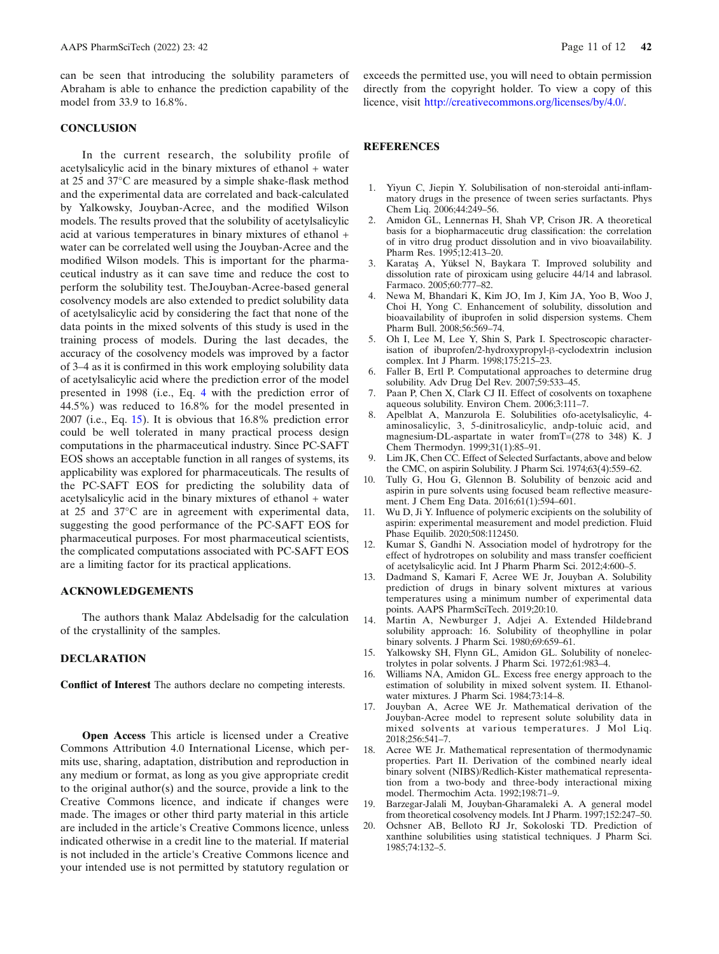<span id="page-10-0"></span>can be seen that introducing the solubility parameters of Abraham is able to enhance the prediction capability of the model from 33.9 to 16.8%.

# **CONCLUSION**

In the current research, the solubility profile of acetylsalicylic acid in the binary mixtures of ethanol + water at 25 and 37°C are measured by a simple shake-flask method and the experimental data are correlated and back-calculated by Yalkowsky, Jouyban-Acree, and the modified Wilson models. The results proved that the solubility of acetylsalicylic acid at various temperatures in binary mixtures of ethanol + water can be correlated well using the Jouyban-Acree and the modified Wilson models. This is important for the pharmaceutical industry as it can save time and reduce the cost to perform the solubility test. TheJouyban-Acree-based general cosolvency models are also extended to predict solubility data of acetylsalicylic acid by considering the fact that none of the data points in the mixed solvents of this study is used in the training process of models. During the last decades, the accuracy of the cosolvency models was improved by a factor of 3–4 as it is confirmed in this work employing solubility data of acetylsalicylic acid where the prediction error of the model presented in 1998 (i.e., Eq. 4 with the prediction error of 44.5%) was reduced to 16.8% for the model presented in 2007 (i.e., Eq. 15). It is obvious that 16.8% prediction error could be well tolerated in many practical process design computations in the pharmaceutical industry. Since PC-SAFT EOS shows an acceptable function in all ranges of systems, its applicability was explored for pharmaceuticals. The results of the PC-SAFT EOS for predicting the solubility data of acetylsalicylic acid in the binary mixtures of ethanol + water at 25 and 37°C are in agreement with experimental data, suggesting the good performance of the PC-SAFT EOS for pharmaceutical purposes. For most pharmaceutical scientists, the complicated computations associated with PC-SAFT EOS are a limiting factor for its practical applications.

## ACKNOWLEDGEMENTS

The authors thank Malaz Abdelsadig for the calculation of the crystallinity of the samples.

# DECLARATION

Conflict of Interest The authors declare no competing interests.

Open Access This article is licensed under a Creative Commons Attribution 4.0 International License, which permits use, sharing, adaptation, distribution and reproduction in any medium or format, as long as you give appropriate credit to the original author(s) and the source, provide a link to the Creative Commons licence, and indicate if changes were made. The images or other third party material in this article are included in the article's Creative Commons licence, unless indicated otherwise in a credit line to the material. If material is not included in the article's Creative Commons licence and your intended use is not permitted by statutory regulation or exceeds the permitted use, you will need to obtain permission directly from the copyright holder. To view a copy of this licence, visit http://creativecommons.org/licenses/by/4.0/.

# **REFERENCES**

- 1. Yiyun C, Jiepin Y. Solubilisation of non-steroidal anti-inflammatory drugs in the presence of tween series surfactants. Phys Chem Liq. 2006;44:249–56.
- 2. Amidon GL, Lennernas H, Shah VP, Crison JR. A theoretical basis for a biopharmaceutic drug classification: the correlation of in vitro drug product dissolution and in vivo bioavailability. Pharm Res. 1995;12:413–20.
- 3. Karataş A, Yüksel N, Baykara T. Improved solubility and dissolution rate of piroxicam using gelucire 44/14 and labrasol. Farmaco. 2005;60:777–82.
- 4. Newa M, Bhandari K, Kim JO, Im J, Kim JA, Yoo B, Woo J, Choi H, Yong C. Enhancement of solubility, dissolution and bioavailability of ibuprofen in solid dispersion systems. Chem Pharm Bull. 2008;56:569–74.
- 5. Oh I, Lee M, Lee Y, Shin S, Park I. Spectroscopic characterisation of ibuprofen/2-hydroxypropyl-β-cyclodextrin inclusion complex. Int J Pharm. 1998;175:215–23.
- Faller B, Ertl P. Computational approaches to determine drug solubility. Adv Drug Del Rev. 2007;59:533–45.
- 7. Paan P, Chen X, Clark CJ II. Effect of cosolvents on toxaphene aqueous solubility. Environ Chem. 2006;3:111–7.
- 8. Apelblat A, Manzurola E. Solubilities ofo-acetylsalicylic, 4 aminosalicylic, 3, 5-dinitrosalicylic, andp-toluic acid, and magnesium-DL-aspartate in water fromT=(278 to 348) K. J Chem Thermodyn. 1999;31(1):85–91.
- 9. Lim JK, Chen CC. Effect of Selected Surfactants, above and below the CMC, on aspirin Solubility. J Pharm Sci. 1974;63(4):559–62.
- 10. Tully G, Hou G, Glennon B. Solubility of benzoic acid and aspirin in pure solvents using focused beam reflective measurement. J Chem Eng Data. 2016;61(1):594–601.
- 11. Wu D, Ji Y. Influence of polymeric excipients on the solubility of aspirin: experimental measurement and model prediction. Fluid Phase Equilib. 2020;508:112450.
- 12. Kumar S, Gandhi N. Association model of hydrotropy for the effect of hydrotropes on solubility and mass transfer coefficient of acetylsalicylic acid. Int J Pharm Pharm Sci. 2012;4:600–5.
- 13. Dadmand S, Kamari F, Acree WE Jr, Jouyban A. Solubility prediction of drugs in binary solvent mixtures at various temperatures using a minimum number of experimental data points. AAPS PharmSciTech. 2019;20:10.
- 14. Martin A, Newburger J, Adjei A. Extended Hildebrand solubility approach: 16. Solubility of theophylline in polar binary solvents. J Pharm Sci. 1980;69:659–61.
- 15. Yalkowsky SH, Flynn GL, Amidon GL. Solubility of nonelectrolytes in polar solvents. J Pharm Sci. 1972;61:983–4.
- 16. Williams NA, Amidon GL. Excess free energy approach to the estimation of solubility in mixed solvent system. II. Ethanolwater mixtures. J Pharm Sci. 1984;73:14–8.
- 17. Jouyban A, Acree WE Jr. Mathematical derivation of the Jouyban-Acree model to represent solute solubility data in mixed solvents at various temperatures. J Mol Liq. 2018;256:541–7.
- 18. Acree WE Jr. Mathematical representation of thermodynamic properties. Part II. Derivation of the combined nearly ideal binary solvent (NIBS)/Redlich-Kister mathematical representation from a two-body and three-body interactional mixing model. Thermochim Acta. 1992;198:71–9.
- 19. Barzegar-Jalali M, Jouyban-Gharamaleki A. A general model from theoretical cosolvency models. Int J Pharm. 1997;152:247–50.
- 20. Ochsner AB, Belloto RJ Jr, Sokoloski TD. Prediction of xanthine solubilities using statistical techniques. J Pharm Sci. 1985;74:132–5.